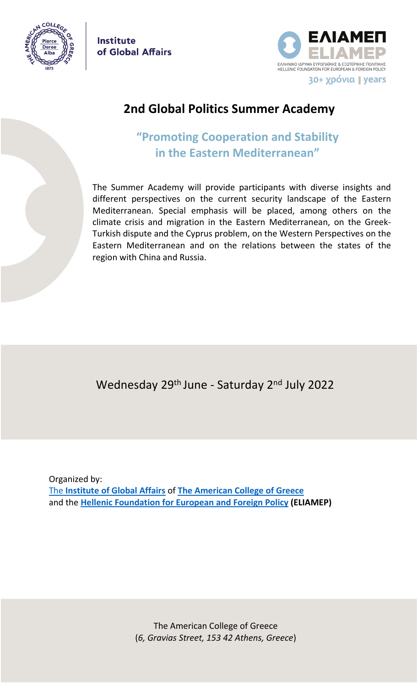

**Institute** of Global Affairs



# **2nd Global Politics Summer Academy**

# **"Promoting Cooperation and Stability in the Eastern Mediterranean"**

The Summer Academy will provide participants with diverse insights and different perspectives on the current security landscape of the Eastern Mediterranean. Special emphasis will be placed, among others on the climate crisis and migration in the Eastern Mediterranean, on the Greek-Turkish dispute and the Cyprus problem, on the Western Perspectives on the Eastern Mediterranean and on the relations between the states of the region with China and Russia.

Wednesday 29<sup>th</sup> June - Saturday 2<sup>nd</sup> July 2022

Οrganized by: The **[Institute of Global Affairs](https://www.acg.edu/about-acg/institute-of-global-affairs/)** of **[The American College of Greece](https://www.acg.edu/graduate/)** and the **[Hellenic Foundation for European and Foreign Policy](http://www.eliamep.gr/en/) (ΕLIAMEP)**

> The American College of Greece (*6, Gravias Street, 153 42 Athens, Greece*)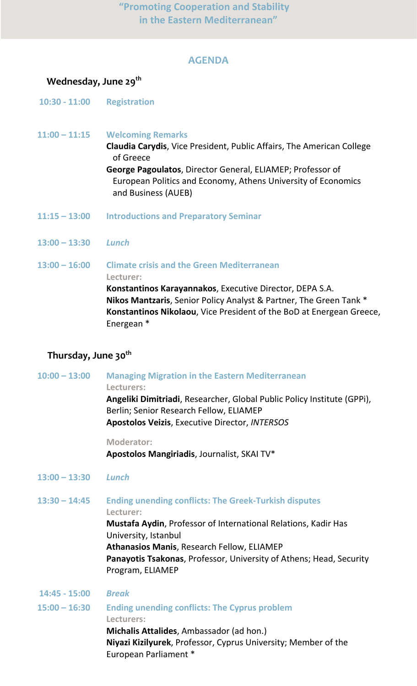# **AGENDA**

## **Wednesday, June 29th**

**10:30 - 11:00 Registration**

**11:00 – 11:15 Welcoming Remarks Claudia Carydis**, Vice President, Public Affairs, The American College of Greece **George Pagoulatos**, Director General, ELIAMEP; Professor of European Politics and Economy, Athens University of Economics and Business (AUEB)

- **11:15 – 13:00 Introductions and Preparatory Seminar**
- **13:00 – 13:30** *Lunch*

**13:00 – 16:00 Climate crisis and the Green Mediterranean Lecturer: Konstantinos Karayannakos**, Executive Director, DEPA S.A. **Nikos Mantzaris**, Senior Policy Analyst & Partner, The Green Tank \* **Konstantinos Nikolaou**, Vice President of the BoD at Energean Greece, Energean \*

### **Thursday, June 30th**

**10:00 – 13:00 Managing Migration in the Eastern Mediterranean Lecturers: Angeliki Dimitriadi**, Researcher, Global Public Policy Institute (GPPi), Berlin; Senior Research Fellow, ELIAMEP **Apostolos Veizis**, Executive Director, *INTERSOS*

#### **Moderator:**

**Apostolos Mangiriadis**, Journalist, SKAI TV\*

**13:00 – 13:30** *Lunch*

**13:30 – 14:45 Ending unending conflicts: The Greek-Turkish disputes**

**Lecturer:**

**Mustafa Aydin**, Professor of International Relations, Kadir Has University, Istanbul **Athanasios Manis**, Research Fellow, ELIAMEP **Panayotis Tsakonas**, Professor, University of Athens; Head, Security Program, ELIAMEP

**14:45 - 15:00** *Break* **15:00 – 16:30 Ending unending conflicts: The Cyprus problem Lecturers: Michalis Attalides**, Ambassador (ad hon.) **Niyazi Kizilyurek**, Professor, Cyprus University; Member of the European Parliament \*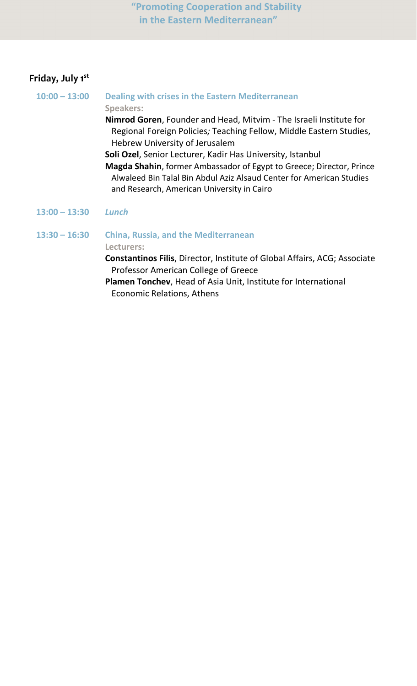**"Promoting Cooperation and Stability in the Eastern Mediterranean"**

# **Friday, July 1 st**

**10:00 – 13:00 Dealing with crises in the Eastern Mediterranean Speakers: Nimrod Goren**, Founder and Head, Mitvim - The Israeli Institute for Regional Foreign Policies*;* Teaching Fellow, Middle Eastern Studies, Hebrew University of Jerusalem **Soli Ozel**, Senior Lecturer, Kadir Has University, Istanbul **Magda Shahin**, former Ambassador of Egypt to Greece; Director, Prince Alwaleed Bin Talal Bin Abdul Aziz Alsaud Center for American Studies and Research, American University in Cairo **13:00 – 13:30** *Lunch* **13:30 – 16:30 China, Russia, and the Mediterranean Lecturers:**

**Constantinos Filis**, Director, Institute of Global Affairs, ACG; Associate Professor American College of Greece

**Plamen Tonchev**, Head of Asia Unit, Institute for International Economic Relations, Athens